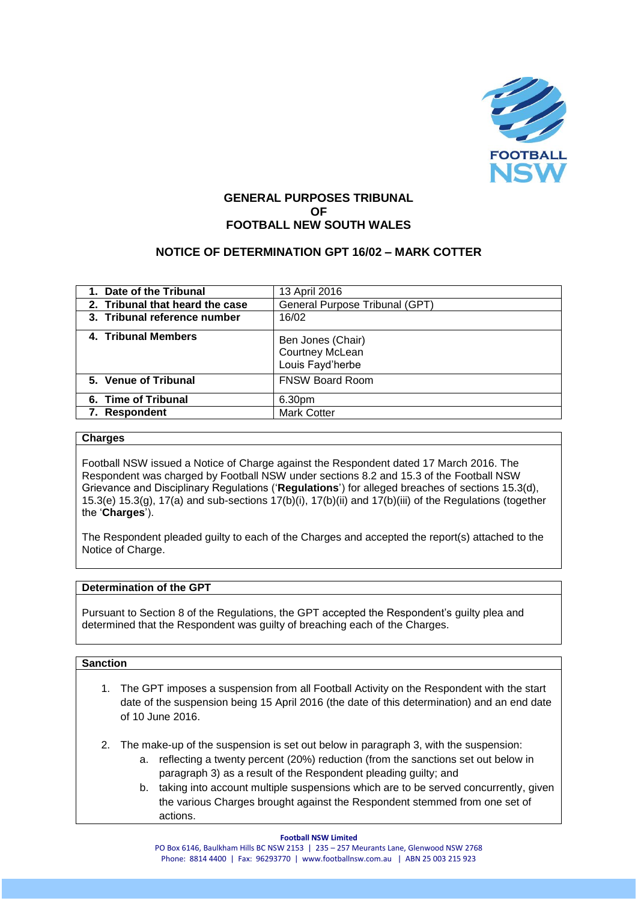

# **GENERAL PURPOSES TRIBUNAL OF FOOTBALL NEW SOUTH WALES**

# **NOTICE OF DETERMINATION GPT 16/02 – MARK COTTER**

| 1. Date of the Tribunal         | 13 April 2016                                            |
|---------------------------------|----------------------------------------------------------|
| 2. Tribunal that heard the case | General Purpose Tribunal (GPT)                           |
| 3. Tribunal reference number    | 16/02                                                    |
| 4. Tribunal Members             | Ben Jones (Chair)<br>Courtney McLean<br>Louis Fayd'herbe |
| 5. Venue of Tribunal            | <b>FNSW Board Room</b>                                   |
| 6. Time of Tribunal             | 6.30pm                                                   |
| 7. Respondent                   | <b>Mark Cotter</b>                                       |
|                                 |                                                          |

### **Charges**

Football NSW issued a Notice of Charge against the Respondent dated 17 March 2016. The Respondent was charged by Football NSW under sections 8.2 and 15.3 of the Football NSW Grievance and Disciplinary Regulations ('**Regulations**') for alleged breaches of sections 15.3(d), 15.3(e) 15.3(g), 17(a) and sub-sections 17(b)(i), 17(b)(ii) and 17(b)(iii) of the Regulations (together the '**Charges**').

The Respondent pleaded guilty to each of the Charges and accepted the report(s) attached to the Notice of Charge.

## **Determination of the GPT**

Pursuant to Section 8 of the Regulations, the GPT accepted the Respondent's guilty plea and determined that the Respondent was guilty of breaching each of the Charges.

#### **Sanction**

- 1. The GPT imposes a suspension from all Football Activity on the Respondent with the start date of the suspension being 15 April 2016 (the date of this determination) and an end date of 10 June 2016.
- 2. The make-up of the suspension is set out below in paragraph 3, with the suspension:
	- a. reflecting a twenty percent (20%) reduction (from the sanctions set out below in paragraph 3) as a result of the Respondent pleading guilty; and
	- b. taking into account multiple suspensions which are to be served concurrently, given the various Charges brought against the Respondent stemmed from one set of actions.

#### **Football NSW Limited**